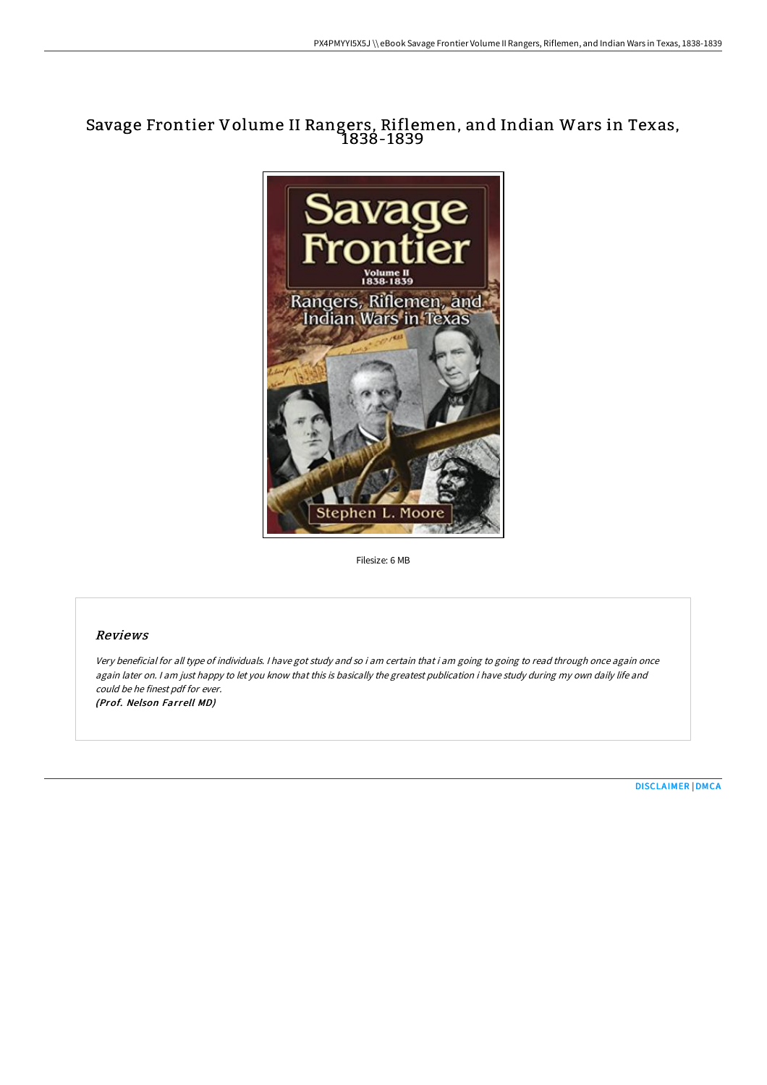# Savage Frontier Volume II Rangers, Riflemen, and Indian Wars in Texas, 1838-1839



Filesize: 6 MB

## Reviews

Very beneficial for all type of individuals. <sup>I</sup> have got study and so i am certain that i am going to going to read through once again once again later on. I am just happy to let you know that this is basically the greatest publication i have study during my own daily life and could be he finest pdf for ever. (Prof. Nelson Farrell MD)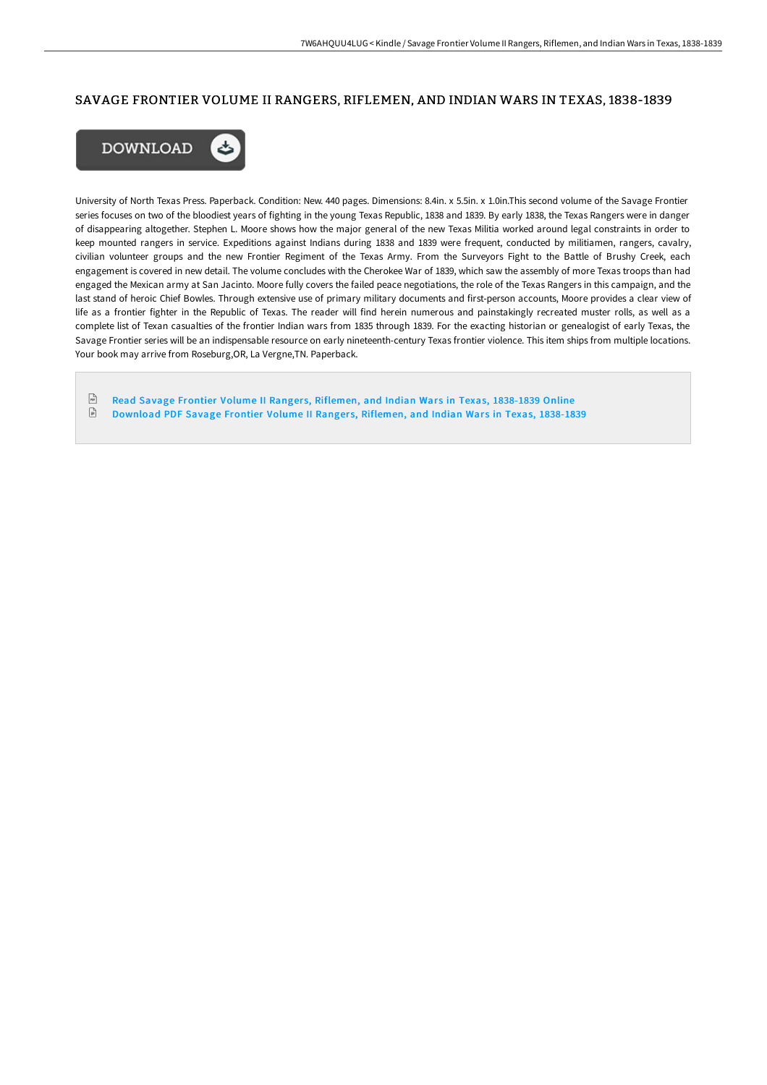### SAVAGE FRONTIER VOLUME II RANGERS, RIFLEMEN, AND INDIAN WARS IN TEXAS, 1838-1839



University of North Texas Press. Paperback. Condition: New. 440 pages. Dimensions: 8.4in. x 5.5in. x 1.0in.This second volume of the Savage Frontier series focuses on two of the bloodiest years of fighting in the young Texas Republic, 1838 and 1839. By early 1838, the Texas Rangers were in danger of disappearing altogether. Stephen L. Moore shows how the major general of the new Texas Militia worked around legal constraints in order to keep mounted rangers in service. Expeditions against Indians during 1838 and 1839 were frequent, conducted by militiamen, rangers, cavalry, civilian volunteer groups and the new Frontier Regiment of the Texas Army. From the Surveyors Fight to the Battle of Brushy Creek, each engagement is covered in new detail. The volume concludes with the Cherokee War of 1839, which saw the assembly of more Texas troops than had engaged the Mexican army at San Jacinto. Moore fully covers the failed peace negotiations, the role of the Texas Rangers in this campaign, and the last stand of heroic Chief Bowles. Through extensive use of primary military documents and first-person accounts, Moore provides a clear view of life as a frontier fighter in the Republic of Texas. The reader will find herein numerous and painstakingly recreated muster rolls, as well as a complete list of Texan casualties of the frontier Indian wars from 1835 through 1839. For the exacting historian or genealogist of early Texas, the Savage Frontier series will be an indispensable resource on early nineteenth-century Texas frontier violence. This item ships from multiple locations. Your book may arrive from Roseburg,OR, La Vergne,TN. Paperback.

 $PSE$ Read Savage Frontier Volume II Rangers, Riflemen, and Indian Wars in Texas, [1838-1839](http://techno-pub.tech/savage-frontier-volume-ii-rangers-riflemen-and-i.html) Online  $\ensuremath{\mathop{\boxplus}}$ [Download](http://techno-pub.tech/savage-frontier-volume-ii-rangers-riflemen-and-i.html) PDF Savage Frontier Volume II Rangers, Riflemen, and Indian Wars in Texas, 1838-1839